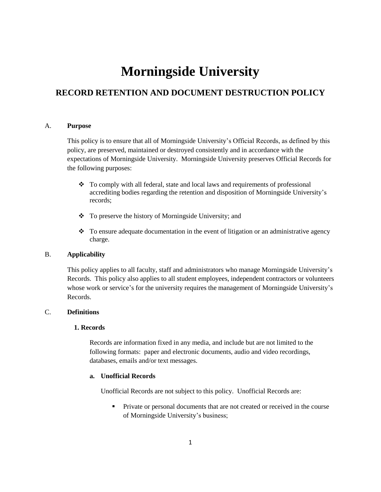# **Morningside University**

# **RECORD RETENTION AND DOCUMENT DESTRUCTION POLICY**

#### A. **Purpose**

This policy is to ensure that all of Morningside University's Official Records, as defined by this policy, are preserved, maintained or destroyed consistently and in accordance with the expectations of Morningside University. Morningside University preserves Official Records for the following purposes:

- To comply with all federal, state and local laws and requirements of professional accrediting bodies regarding the retention and disposition of Morningside University's records;
- \* To preserve the history of Morningside University; and
- $\bullet$  To ensure adequate documentation in the event of litigation or an administrative agency charge.

# B. **Applicability**

This policy applies to all faculty, staff and administrators who manage Morningside University's Records. This policy also applies to all student employees, independent contractors or volunteers whose work or service's for the university requires the management of Morningside University's Records.

# C. **Definitions**

#### **1. Records**

Records are information fixed in any media, and include but are not limited to the following formats: paper and electronic documents, audio and video recordings, databases, emails and/or text messages.

#### **a. Unofficial Records**

Unofficial Records are not subject to this policy. Unofficial Records are:

**Private or personal documents that are not created or received in the course** of Morningside University's business;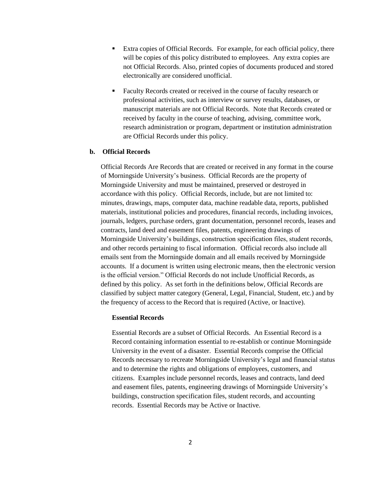- Extra copies of Official Records. For example, for each official policy, there will be copies of this policy distributed to employees. Any extra copies are not Official Records. Also, printed copies of documents produced and stored electronically are considered unofficial.
- Faculty Records created or received in the course of faculty research or professional activities, such as interview or survey results, databases, or manuscript materials are not Official Records. Note that Records created or received by faculty in the course of teaching, advising, committee work, research administration or program, department or institution administration are Official Records under this policy.

# **b. Official Records**

Official Records Are Records that are created or received in any format in the course of Morningside University's business. Official Records are the property of Morningside University and must be maintained, preserved or destroyed in accordance with this policy. Official Records, include, but are not limited to: minutes, drawings, maps, computer data, machine readable data, reports, published materials, institutional policies and procedures, financial records, including invoices, journals, ledgers, purchase orders, grant documentation, personnel records, leases and contracts, land deed and easement files, patents, engineering drawings of Morningside University's buildings, construction specification files, student records, and other records pertaining to fiscal information. Official records also include all emails sent from the Morningside domain and all emails received by Morningside accounts. If a document is written using electronic means, then the electronic version is the official version." Official Records do not include Unofficial Records, as defined by this policy. As set forth in the definitions below, Official Records are classified by subject matter category (General, Legal, Financial, Student, etc.) and by the frequency of access to the Record that is required (Active, or Inactive).

# **Essential Records**

Essential Records are a subset of Official Records. An Essential Record is a Record containing information essential to re-establish or continue Morningside University in the event of a disaster. Essential Records comprise the Official Records necessary to recreate Morningside University's legal and financial status and to determine the rights and obligations of employees, customers, and citizens. Examples include personnel records, leases and contracts, land deed and easement files, patents, engineering drawings of Morningside University's buildings, construction specification files, student records, and accounting records. Essential Records may be Active or Inactive.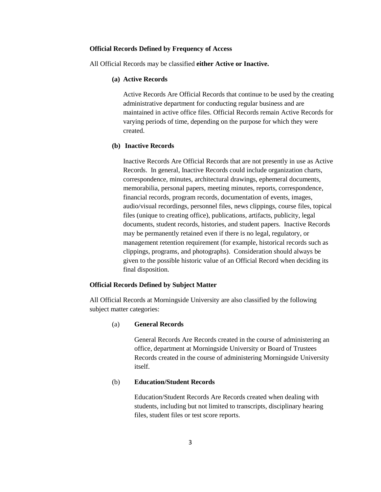#### **Official Records Defined by Frequency of Access**

All Official Records may be classified **either Active or Inactive.** 

#### **(a) Active Records**

Active Records Are Official Records that continue to be used by the creating administrative department for conducting regular business and are maintained in active office files. Official Records remain Active Records for varying periods of time, depending on the purpose for which they were created.

#### **(b) Inactive Records**

Inactive Records Are Official Records that are not presently in use as Active Records. In general, Inactive Records could include organization charts, correspondence, minutes, architectural drawings, ephemeral documents, memorabilia, personal papers, meeting minutes, reports, correspondence, financial records, program records, documentation of events, images, audio/visual recordings, personnel files, news clippings, course files, topical files (unique to creating office), publications, artifacts, publicity, legal documents, student records, histories, and student papers. Inactive Records may be permanently retained even if there is no legal, regulatory, or management retention requirement (for example, historical records such as clippings, programs, and photographs). Consideration should always be given to the possible historic value of an Official Record when deciding its final disposition.

#### **Official Records Defined by Subject Matter**

All Official Records at Morningside University are also classified by the following subject matter categories:

#### (a) **General Records**

General Records Are Records created in the course of administering an office, department at Morningside University or Board of Trustees Records created in the course of administering Morningside University itself.

#### (b) **Education/Student Records**

Education/Student Records Are Records created when dealing with students, including but not limited to transcripts, disciplinary hearing files, student files or test score reports.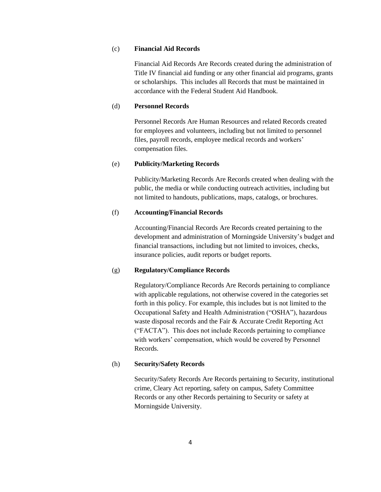# (c) **Financial Aid Records**

Financial Aid Records Are Records created during the administration of Title IV financial aid funding or any other financial aid programs, grants or scholarships. This includes all Records that must be maintained in accordance with the Federal Student Aid Handbook.

# (d) **Personnel Records**

Personnel Records Are Human Resources and related Records created for employees and volunteers, including but not limited to personnel files, payroll records, employee medical records and workers' compensation files.

#### (e) **Publicity/Marketing Records**

Publicity/Marketing Records Are Records created when dealing with the public, the media or while conducting outreach activities, including but not limited to handouts, publications, maps, catalogs, or brochures.

#### (f) **Accounting/Financial Records**

Accounting/Financial Records Are Records created pertaining to the development and administration of Morningside University's budget and financial transactions, including but not limited to invoices, checks, insurance policies, audit reports or budget reports.

#### (g) **Regulatory/Compliance Records**

Regulatory/Compliance Records Are Records pertaining to compliance with applicable regulations, not otherwise covered in the categories set forth in this policy. For example, this includes but is not limited to the Occupational Safety and Health Administration ("OSHA"), hazardous waste disposal records and the Fair & Accurate Credit Reporting Act ("FACTA"). This does not include Records pertaining to compliance with workers' compensation, which would be covered by Personnel Records.

## (h) **Security/Safety Records**

Security/Safety Records Are Records pertaining to Security, institutional crime, Cleary Act reporting, safety on campus, Safety Committee Records or any other Records pertaining to Security or safety at Morningside University.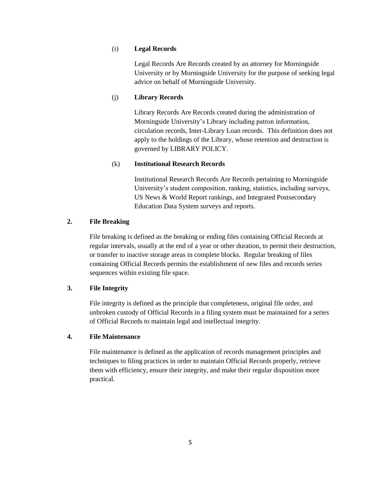# (i) **Legal Records**

Legal Records Are Records created by an attorney for Morningside University or by Morningside University for the purpose of seeking legal advice on behalf of Morningside University.

# (j) **Library Records**

Library Records Are Records created during the administration of Morningside University's Library including patron information, circulation records, Inter-Library Loan records. This definition does not apply to the holdings of the Library, whose retention and destruction is governed by LIBRARY POLICY.

## (k) **Institutional Research Records**

Institutional Research Records Are Records pertaining to Morningside University's student composition, ranking, statistics, including surveys, US News & World Report rankings, and Integrated Postsecondary Education Data System surveys and reports.

# **2. File Breaking**

File breaking is defined as the breaking or ending files containing Official Records at regular intervals, usually at the end of a year or other duration, to permit their destruction, or transfer to inactive storage areas in complete blocks. Regular breaking of files containing Official Records permits the establishment of new files and records series sequences within existing file space.

# **3. File Integrity**

File integrity is defined as the principle that completeness, original file order, and unbroken custody of Official Records in a filing system must be maintained for a series of Official Records to maintain legal and intellectual integrity.

# **4. File Maintenance**

File maintenance is defined as the application of records management principles and techniques to filing practices in order to maintain Official Records properly, retrieve them with efficiency, ensure their integrity, and make their regular disposition more practical.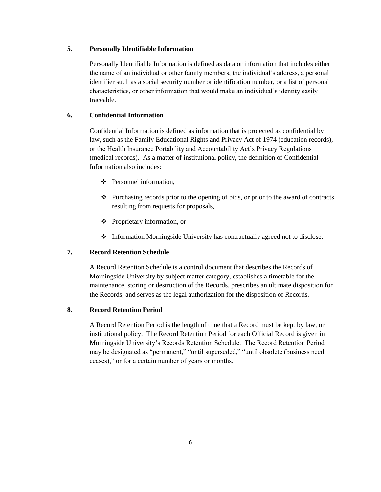## **5. Personally Identifiable Information**

Personally Identifiable Information is defined as data or information that includes either the name of an individual or other family members, the individual's address, a personal identifier such as a social security number or identification number, or a list of personal characteristics, or other information that would make an individual's identity easily traceable.

# **6. Confidential Information**

Confidential Information is defined as information that is protected as confidential by law, such as the Family Educational Rights and Privacy Act of 1974 (education records), or the Health Insurance Portability and Accountability Act's Privacy Regulations (medical records). As a matter of institutional policy, the definition of Confidential Information also includes:

- Personnel information,
- $\triangleleft$  Purchasing records prior to the opening of bids, or prior to the award of contracts resulting from requests for proposals,
- Proprietary information, or
- Information Morningside University has contractually agreed not to disclose.

# **7. Record Retention Schedule**

A Record Retention Schedule is a control document that describes the Records of Morningside University by subject matter category, establishes a timetable for the maintenance, storing or destruction of the Records, prescribes an ultimate disposition for the Records, and serves as the legal authorization for the disposition of Records.

# **8. Record Retention Period**

A Record Retention Period is the length of time that a Record must be kept by law, or institutional policy. The Record Retention Period for each Official Record is given in Morningside University's Records Retention Schedule. The Record Retention Period may be designated as "permanent," "until superseded," "until obsolete (business need ceases)," or for a certain number of years or months.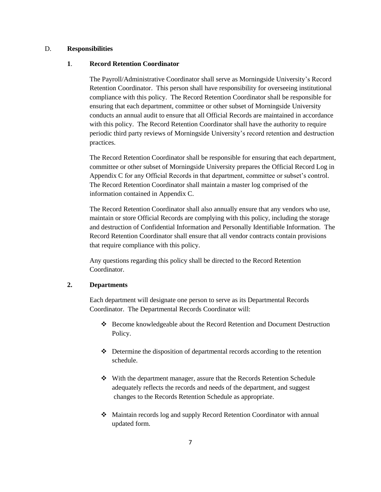#### D. **Responsibilities**

#### **1**. **Record Retention Coordinator**

The Payroll/Administrative Coordinator shall serve as Morningside University's Record Retention Coordinator. This person shall have responsibility for overseeing institutional compliance with this policy. The Record Retention Coordinator shall be responsible for ensuring that each department, committee or other subset of Morningside University conducts an annual audit to ensure that all Official Records are maintained in accordance with this policy. The Record Retention Coordinator shall have the authority to require periodic third party reviews of Morningside University's record retention and destruction practices.

The Record Retention Coordinator shall be responsible for ensuring that each department, committee or other subset of Morningside University prepares the Official Record Log in Appendix C for any Official Records in that department, committee or subset's control. The Record Retention Coordinator shall maintain a master log comprised of the information contained in Appendix C.

The Record Retention Coordinator shall also annually ensure that any vendors who use, maintain or store Official Records are complying with this policy, including the storage and destruction of Confidential Information and Personally Identifiable Information. The Record Retention Coordinator shall ensure that all vendor contracts contain provisions that require compliance with this policy.

Any questions regarding this policy shall be directed to the Record Retention Coordinator.

# **2. Departments**

Each department will designate one person to serve as its Departmental Records Coordinator. The Departmental Records Coordinator will:

- Become knowledgeable about the Record Retention and Document Destruction Policy.
- Determine the disposition of departmental records according to the retention schedule.
- With the department manager, assure that the Records Retention Schedule adequately reflects the records and needs of the department, and suggest changes to the Records Retention Schedule as appropriate.
- Maintain records log and supply Record Retention Coordinator with annual updated form.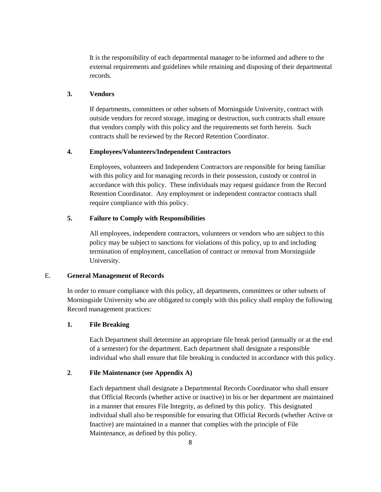It is the responsibility of each departmental manager to be informed and adhere to the external requirements and guidelines while retaining and disposing of their departmental records.

## **3. Vendors**

If departments, committees or other subsets of Morningside University, contract with outside vendors for record storage, imaging or destruction, such contracts shall ensure that vendors comply with this policy and the requirements set forth herein. Such contracts shall be reviewed by the Record Retention Coordinator.

# **4. Employees/Volunteers/Independent Contractors**

Employees, volunteers and Independent Contractors are responsible for being familiar with this policy and for managing records in their possession, custody or control in accordance with this policy. These individuals may request guidance from the Record Retention Coordinator. Any employment or independent contractor contracts shall require compliance with this policy.

#### **5. Failure to Comply with Responsibilities**

All employees, independent contractors, volunteers or vendors who are subject to this policy may be subject to sanctions for violations of this policy, up to and including termination of employment, cancellation of contract or removal from Morningside University.

#### E. **General Management of Records**

In order to ensure compliance with this policy, all departments, committees or other subsets of Morningside University who are obligated to comply with this policy shall employ the following Record management practices:

## **1. File Breaking**

Each Department shall determine an appropriate file break period (annually or at the end of a semester) for the department. Each department shall designate a responsible individual who shall ensure that file breaking is conducted in accordance with this policy.

# **2**. **File Maintenance (see Appendix A)**

Each department shall designate a Departmental Records Coordinator who shall ensure that Official Records (whether active or inactive) in his or her department are maintained in a manner that ensures File Integrity, as defined by this policy. This designated individual shall also be responsible for ensuring that Official Records (whether Active or Inactive) are maintained in a manner that complies with the principle of File Maintenance, as defined by this policy.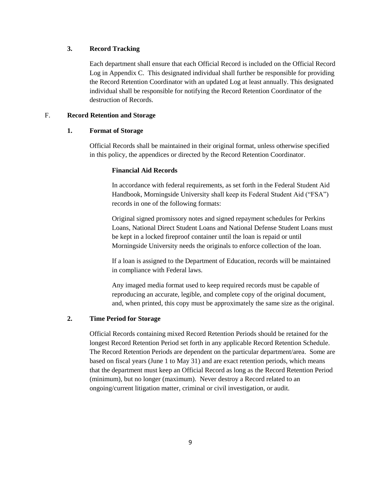# **3. Record Tracking**

Each department shall ensure that each Official Record is included on the Official Record Log in Appendix C. This designated individual shall further be responsible for providing the Record Retention Coordinator with an updated Log at least annually. This designated individual shall be responsible for notifying the Record Retention Coordinator of the destruction of Records.

### F. **Record Retention and Storage**

# **1. Format of Storage**

Official Records shall be maintained in their original format, unless otherwise specified in this policy, the appendices or directed by the Record Retention Coordinator.

#### **Financial Aid Records**

In accordance with federal requirements, as set forth in the Federal Student Aid Handbook, Morningside University shall keep its Federal Student Aid ("FSA") records in one of the following formats:

Original signed promissory notes and signed repayment schedules for Perkins Loans, National Direct Student Loans and National Defense Student Loans must be kept in a locked fireproof container until the loan is repaid or until Morningside University needs the originals to enforce collection of the loan.

If a loan is assigned to the Department of Education, records will be maintained in compliance with Federal laws.

Any imaged media format used to keep required records must be capable of reproducing an accurate, legible, and complete copy of the original document, and, when printed, this copy must be approximately the same size as the original.

# **2. Time Period for Storage**

Official Records containing mixed Record Retention Periods should be retained for the longest Record Retention Period set forth in any applicable Record Retention Schedule. The Record Retention Periods are dependent on the particular department/area. Some are based on fiscal years (June 1 to May 31) and are exact retention periods, which means that the department must keep an Official Record as long as the Record Retention Period (minimum), but no longer (maximum). Never destroy a Record related to an ongoing/current litigation matter, criminal or civil investigation, or audit.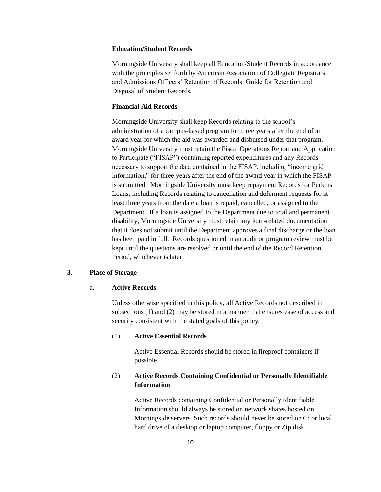# **Education/Student Records**

Morningside University shall keep all Education/Student Records in accordance with the principles set forth by American Association of Collegiate Registrars and Admissions Officers' Retention of Records: Guide for Retention and Disposal of Student Records.

# **Financial Aid Records**

Morningside University shall keep Records relating to the school's administration of a campus-based program for three years after the end of an award year for which the aid was awarded and disbursed under that program. Morningside University must retain the Fiscal Operations Report and Application to Participate ("FISAP") containing reported expenditures and any Records necessary to support the data contained in the FISAP, including "income grid information," for three years after the end of the award year in which the FISAP is submitted. Morningside University must keep repayment Records for Perkins Loans, including Records relating to cancellation and deferment requests for at least three years from the date a loan is repaid, cancelled, or assigned to the Department. If a loan is assigned to the Department due to total and permanent disability, Morningside University must retain any loan-related documentation that it does not submit until the Department approves a final discharge or the loan has been paid in full. Records questioned in an audit or program review must be kept until the questions are resolved or until the end of the Record Retention Period, whichever is later

## **3**. **Place of Storage**

#### a. **Active Records**

Unless otherwise specified in this policy, all Active Records not described in subsections (1) and (2) may be stored in a manner that ensures ease of access and security consistent with the stated goals of this policy.

#### (1) **Active Essential Records**

Active Essential Records should be stored in fireproof containers if possible.

# (2) **Active Records Containing Confidential or Personally Identifiable Information**

Active Records containing Confidential or Personally Identifiable Information should always be stored on network shares hosted on Morningside servers. Such records should never be stored on C: or local hard drive of a desktop or laptop computer, floppy or Zip disk,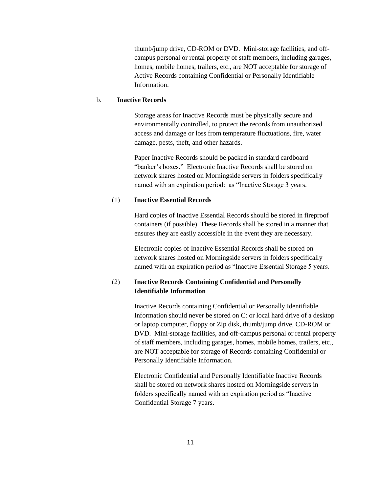thumb/jump drive, CD-ROM or DVD. Mini-storage facilities, and offcampus personal or rental property of staff members, including garages, homes, mobile homes, trailers, etc., are NOT acceptable for storage of Active Records containing Confidential or Personally Identifiable Information.

#### b. **Inactive Records**

Storage areas for Inactive Records must be physically secure and environmentally controlled, to protect the records from unauthorized access and damage or loss from temperature fluctuations, fire, water damage, pests, theft, and other hazards.

Paper Inactive Records should be packed in standard cardboard "banker's boxes." Electronic Inactive Records shall be stored on network shares hosted on Morningside servers in folders specifically named with an expiration period: as "Inactive Storage 3 years.

#### (1) **Inactive Essential Records**

Hard copies of Inactive Essential Records should be stored in fireproof containers (if possible). These Records shall be stored in a manner that ensures they are easily accessible in the event they are necessary.

Electronic copies of Inactive Essential Records shall be stored on network shares hosted on Morningside servers in folders specifically named with an expiration period as "Inactive Essential Storage 5 years.

# (2) **Inactive Records Containing Confidential and Personally Identifiable Information**

Inactive Records containing Confidential or Personally Identifiable Information should never be stored on C: or local hard drive of a desktop or laptop computer, floppy or Zip disk, thumb/jump drive, CD-ROM or DVD. Mini-storage facilities, and off-campus personal or rental property of staff members, including garages, homes, mobile homes, trailers, etc., are NOT acceptable for storage of Records containing Confidential or Personally Identifiable Information.

Electronic Confidential and Personally Identifiable Inactive Records shall be stored on network shares hosted on Morningside servers in folders specifically named with an expiration period as "Inactive Confidential Storage 7 years**.**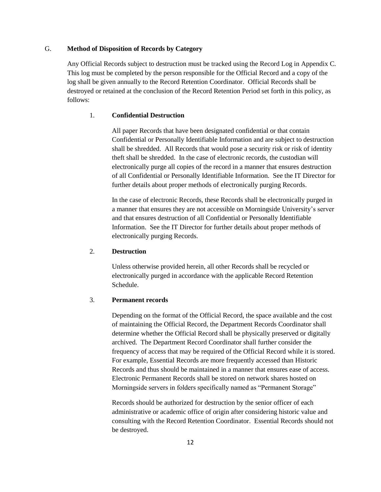# G. **Method of Disposition of Records by Category**

Any Official Records subject to destruction must be tracked using the Record Log in Appendix C. This log must be completed by the person responsible for the Official Record and a copy of the log shall be given annually to the Record Retention Coordinator. Official Records shall be destroyed or retained at the conclusion of the Record Retention Period set forth in this policy, as follows:

#### 1. **Confidential Destruction**

All paper Records that have been designated confidential or that contain Confidential or Personally Identifiable Information and are subject to destruction shall be shredded. All Records that would pose a security risk or risk of identity theft shall be shredded. In the case of electronic records, the custodian will electronically purge all copies of the record in a manner that ensures destruction of all Confidential or Personally Identifiable Information. See the IT Director for further details about proper methods of electronically purging Records.

In the case of electronic Records, these Records shall be electronically purged in a manner that ensures they are not accessible on Morningside University's server and that ensures destruction of all Confidential or Personally Identifiable Information. See the IT Director for further details about proper methods of electronically purging Records.

#### 2. **Destruction**

Unless otherwise provided herein, all other Records shall be recycled or electronically purged in accordance with the applicable Record Retention Schedule.

#### 3. **Permanent records**

Depending on the format of the Official Record, the space available and the cost of maintaining the Official Record, the Department Records Coordinator shall determine whether the Official Record shall be physically preserved or digitally archived. The Department Record Coordinator shall further consider the frequency of access that may be required of the Official Record while it is stored. For example, Essential Records are more frequently accessed than Historic Records and thus should be maintained in a manner that ensures ease of access. Electronic Permanent Records shall be stored on network shares hosted on Morningside servers in folders specifically named as "Permanent Storage"

Records should be authorized for destruction by the senior officer of each administrative or academic office of origin after considering historic value and consulting with the Record Retention Coordinator. Essential Records should not be destroyed.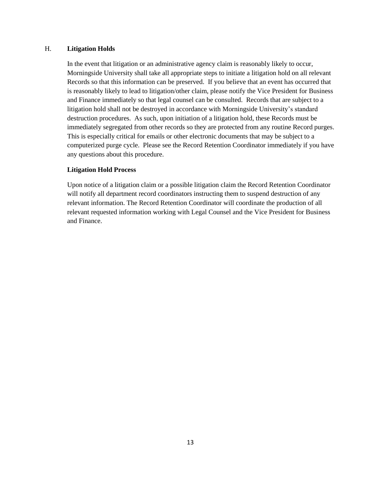### H. **Litigation Holds**

In the event that litigation or an administrative agency claim is reasonably likely to occur, Morningside University shall take all appropriate steps to initiate a litigation hold on all relevant Records so that this information can be preserved. If you believe that an event has occurred that is reasonably likely to lead to litigation/other claim, please notify the Vice President for Business and Finance immediately so that legal counsel can be consulted. Records that are subject to a litigation hold shall not be destroyed in accordance with Morningside University's standard destruction procedures. As such, upon initiation of a litigation hold, these Records must be immediately segregated from other records so they are protected from any routine Record purges. This is especially critical for emails or other electronic documents that may be subject to a computerized purge cycle. Please see the Record Retention Coordinator immediately if you have any questions about this procedure.

#### **Litigation Hold Process**

Upon notice of a litigation claim or a possible litigation claim the Record Retention Coordinator will notify all department record coordinators instructing them to suspend destruction of any relevant information. The Record Retention Coordinator will coordinate the production of all relevant requested information working with Legal Counsel and the Vice President for Business and Finance.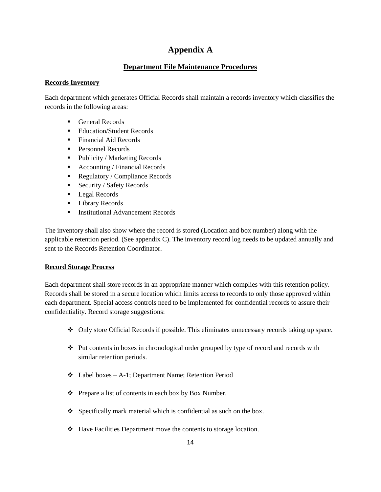# **Appendix A**

# **Department File Maintenance Procedures**

# **Records Inventory**

Each department which generates Official Records shall maintain a records inventory which classifies the records in the following areas:

- General Records
- Education/Student Records
- Financial Aid Records
- Personnel Records
- Publicity / Marketing Records
- Accounting / Financial Records
- Regulatory / Compliance Records
- Security / Safety Records
- **Legal Records**
- **Library Records**
- **Institutional Advancement Records**

The inventory shall also show where the record is stored (Location and box number) along with the applicable retention period. (See appendix C). The inventory record log needs to be updated annually and sent to the Records Retention Coordinator.

# **Record Storage Process**

Each department shall store records in an appropriate manner which complies with this retention policy. Records shall be stored in a secure location which limits access to records to only those approved within each department. Special access controls need to be implemented for confidential records to assure their confidentiality. Record storage suggestions:

- Only store Official Records if possible. This eliminates unnecessary records taking up space.
- Put contents in boxes in chronological order grouped by type of record and records with similar retention periods.
- $\triangleleft$  Label boxes A-1; Department Name; Retention Period
- $\triangle$  Prepare a list of contents in each box by Box Number.
- $\bullet$  Specifically mark material which is confidential as such on the box.
- Have Facilities Department move the contents to storage location.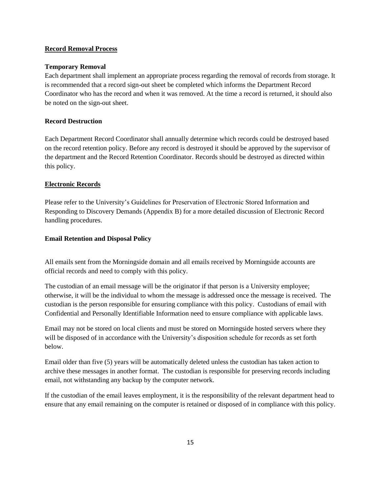#### **Record Removal Process**

#### **Temporary Removal**

Each department shall implement an appropriate process regarding the removal of records from storage. It is recommended that a record sign-out sheet be completed which informs the Department Record Coordinator who has the record and when it was removed. At the time a record is returned, it should also be noted on the sign-out sheet.

#### **Record Destruction**

Each Department Record Coordinator shall annually determine which records could be destroyed based on the record retention policy. Before any record is destroyed it should be approved by the supervisor of the department and the Record Retention Coordinator. Records should be destroyed as directed within this policy.

#### **Electronic Records**

Please refer to the University's Guidelines for Preservation of Electronic Stored Information and Responding to Discovery Demands (Appendix B) for a more detailed discussion of Electronic Record handling procedures.

#### **Email Retention and Disposal Policy**

All emails sent from the Morningside domain and all emails received by Morningside accounts are official records and need to comply with this policy.

The custodian of an email message will be the originator if that person is a University employee; otherwise, it will be the individual to whom the message is addressed once the message is received. The custodian is the person responsible for ensuring compliance with this policy. Custodians of email with Confidential and Personally Identifiable Information need to ensure compliance with applicable laws.

Email may not be stored on local clients and must be stored on Morningside hosted servers where they will be disposed of in accordance with the University's disposition schedule for records as set forth below.

Email older than five (5) years will be automatically deleted unless the custodian has taken action to archive these messages in another format. The custodian is responsible for preserving records including email, not withstanding any backup by the computer network.

If the custodian of the email leaves employment, it is the responsibility of the relevant department head to ensure that any email remaining on the computer is retained or disposed of in compliance with this policy.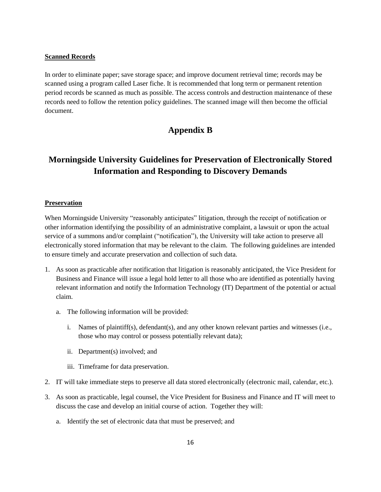#### **Scanned Records**

In order to eliminate paper; save storage space; and improve document retrieval time; records may be scanned using a program called Laser fiche. It is recommended that long term or permanent retention period records be scanned as much as possible. The access controls and destruction maintenance of these records need to follow the retention policy guidelines. The scanned image will then become the official document.

# **Appendix B**

# **Morningside University Guidelines for Preservation of Electronically Stored Information and Responding to Discovery Demands**

#### **Preservation**

When Morningside University "reasonably anticipates" litigation, through the receipt of notification or other information identifying the possibility of an administrative complaint, a lawsuit or upon the actual service of a summons and/or complaint ("notification"), the University will take action to preserve all electronically stored information that may be relevant to the claim. The following guidelines are intended to ensure timely and accurate preservation and collection of such data.

- 1. As soon as practicable after notification that litigation is reasonably anticipated, the Vice President for Business and Finance will issue a legal hold letter to all those who are identified as potentially having relevant information and notify the Information Technology (IT) Department of the potential or actual claim.
	- a. The following information will be provided:
		- i. Names of plaintiff(s), defendant(s), and any other known relevant parties and witnesses (i.e., those who may control or possess potentially relevant data);
		- ii. Department(s) involved; and
		- iii. Timeframe for data preservation.
- 2. IT will take immediate steps to preserve all data stored electronically (electronic mail, calendar, etc.).
- 3. As soon as practicable, legal counsel, the Vice President for Business and Finance and IT will meet to discuss the case and develop an initial course of action. Together they will:
	- a. Identify the set of electronic data that must be preserved; and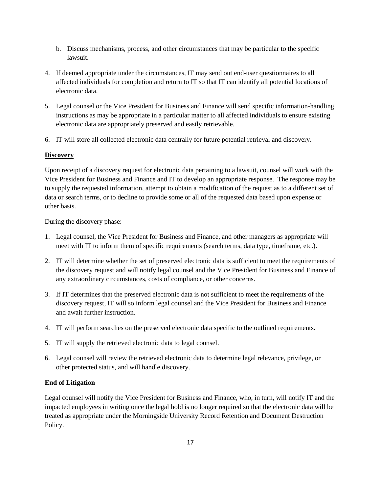- b. Discuss mechanisms, process, and other circumstances that may be particular to the specific lawsuit.
- 4. If deemed appropriate under the circumstances, IT may send out end-user questionnaires to all affected individuals for completion and return to IT so that IT can identify all potential locations of electronic data.
- 5. Legal counsel or the Vice President for Business and Finance will send specific information-handling instructions as may be appropriate in a particular matter to all affected individuals to ensure existing electronic data are appropriately preserved and easily retrievable.
- 6. IT will store all collected electronic data centrally for future potential retrieval and discovery.

# **Discovery**

Upon receipt of a discovery request for electronic data pertaining to a lawsuit, counsel will work with the Vice President for Business and Finance and IT to develop an appropriate response. The response may be to supply the requested information, attempt to obtain a modification of the request as to a different set of data or search terms, or to decline to provide some or all of the requested data based upon expense or other basis.

During the discovery phase:

- 1. Legal counsel, the Vice President for Business and Finance, and other managers as appropriate will meet with IT to inform them of specific requirements (search terms, data type, timeframe, etc.).
- 2. IT will determine whether the set of preserved electronic data is sufficient to meet the requirements of the discovery request and will notify legal counsel and the Vice President for Business and Finance of any extraordinary circumstances, costs of compliance, or other concerns.
- 3. If IT determines that the preserved electronic data is not sufficient to meet the requirements of the discovery request, IT will so inform legal counsel and the Vice President for Business and Finance and await further instruction.
- 4. IT will perform searches on the preserved electronic data specific to the outlined requirements.
- 5. IT will supply the retrieved electronic data to legal counsel.
- 6. Legal counsel will review the retrieved electronic data to determine legal relevance, privilege, or other protected status, and will handle discovery.

# **End of Litigation**

Legal counsel will notify the Vice President for Business and Finance, who, in turn, will notify IT and the impacted employees in writing once the legal hold is no longer required so that the electronic data will be treated as appropriate under the Morningside University Record Retention and Document Destruction Policy.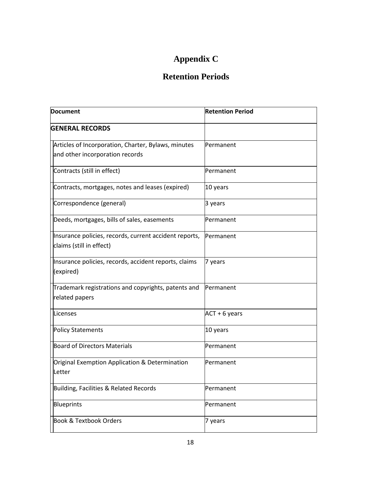# **Appendix C**

# **Retention Periods**

| <b>Document</b>                                                                    | <b>Retention Period</b> |
|------------------------------------------------------------------------------------|-------------------------|
| <b>GENERAL RECORDS</b>                                                             |                         |
| Articles of Incorporation, Charter, Bylaws, minutes                                | Permanent               |
| and other incorporation records                                                    |                         |
| Contracts (still in effect)                                                        | Permanent               |
| Contracts, mortgages, notes and leases (expired)                                   | 10 years                |
| Correspondence (general)                                                           | 3 years                 |
| Deeds, mortgages, bills of sales, easements                                        | Permanent               |
| Insurance policies, records, current accident reports,<br>claims (still in effect) | Permanent               |
| Insurance policies, records, accident reports, claims<br>(expired)                 | 7 years                 |
| Trademark registrations and copyrights, patents and<br>related papers              | Permanent               |
| Licenses                                                                           | ACT + 6 years           |
| <b>Policy Statements</b>                                                           | 10 years                |
| <b>Board of Directors Materials</b>                                                | Permanent               |
| Original Exemption Application & Determination                                     | Permanent               |
| Letter                                                                             |                         |
| Building, Facilities & Related Records                                             | Permanent               |
| Blueprints                                                                         | Permanent               |
| <b>Book &amp; Textbook Orders</b>                                                  | 7 years                 |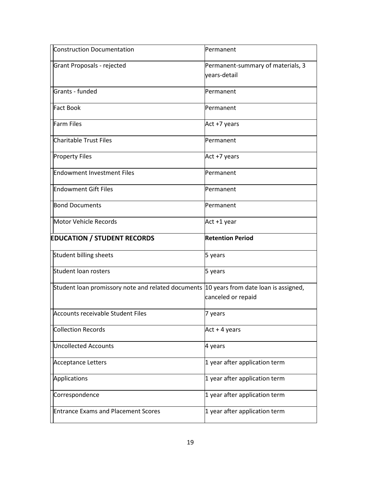| <b>Construction Documentation</b>                                                       | Permanent                                         |
|-----------------------------------------------------------------------------------------|---------------------------------------------------|
| Grant Proposals - rejected                                                              | Permanent-summary of materials, 3<br>vears-detail |
| Grants - funded                                                                         | Permanent                                         |
| <b>Fact Book</b>                                                                        | Permanent                                         |
| <b>Farm Files</b>                                                                       | Act +7 years                                      |
| <b>Charitable Trust Files</b>                                                           | Permanent                                         |
| <b>Property Files</b>                                                                   | Act +7 years                                      |
| <b>Endowment Investment Files</b>                                                       | <b>Permanent</b>                                  |
| <b>Endowment Gift Files</b>                                                             | Permanent                                         |
| <b>Bond Documents</b>                                                                   | <b>Permanent</b>                                  |
| Motor Vehicle Records                                                                   | Act +1 year                                       |
|                                                                                         |                                                   |
|                                                                                         | <b>Retention Period</b>                           |
| <b>EDUCATION / STUDENT RECORDS</b><br>Student billing sheets                            | 5 years                                           |
| <b>Student loan rosters</b>                                                             | 5 years                                           |
| Student loan promissory note and related documents 10 years from date loan is assigned, | canceled or repaid                                |
| Accounts receivable Student Files                                                       | 7 years                                           |
| <b>Collection Records</b>                                                               | Act + 4 years                                     |
| <b>Uncollected Accounts</b>                                                             | 4 years                                           |
| <b>Acceptance Letters</b>                                                               | 1 year after application term                     |
| Applications                                                                            | 1 year after application term                     |
| Correspondence                                                                          | 1 year after application term                     |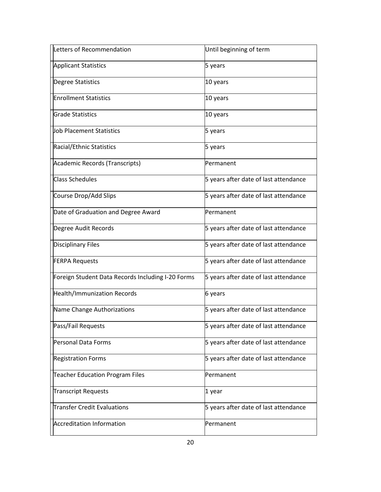| Letters of Recommendation                         | Until beginning of term               |
|---------------------------------------------------|---------------------------------------|
| <b>Applicant Statistics</b>                       | 5 years                               |
| Degree Statistics                                 | 10 years                              |
| <b>Enrollment Statistics</b>                      | 10 years                              |
| <b>Grade Statistics</b>                           | 10 years                              |
| Job Placement Statistics                          | 5 years                               |
| Racial/Ethnic Statistics                          | 5 years                               |
| Academic Records (Transcripts)                    | Permanent                             |
| <b>Class Schedules</b>                            | 5 years after date of last attendance |
| Course Drop/Add Slips                             | 5 years after date of last attendance |
| Date of Graduation and Degree Award               | <b>Permanent</b>                      |
| Degree Audit Records                              | 5 years after date of last attendance |
| <b>Disciplinary Files</b>                         | 5 years after date of last attendance |
| <b>FERPA Requests</b>                             | 5 years after date of last attendance |
| Foreign Student Data Records Including I-20 Forms | 5 years after date of last attendance |
| <b>Health/Immunization Records</b>                | 6 years                               |
| Name Change Authorizations                        | 5 years after date of last attendance |
| Pass/Fail Requests                                | 5 years after date of last attendance |
| Personal Data Forms                               | 5 years after date of last attendance |
| <b>Registration Forms</b>                         | 5 years after date of last attendance |
| <b>Teacher Education Program Files</b>            | Permanent                             |
| <b>Transcript Requests</b>                        | 1 year                                |
| <b>Transfer Credit Evaluations</b>                | 5 years after date of last attendance |
| <b>Accreditation Information</b>                  | Permanent                             |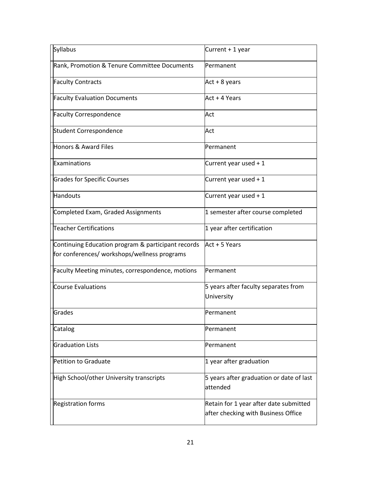| Syllabus                                           | Current + 1 year                                                              |
|----------------------------------------------------|-------------------------------------------------------------------------------|
| Rank, Promotion & Tenure Committee Documents       | Permanent                                                                     |
| <b>Faculty Contracts</b>                           | Act + 8 years                                                                 |
| <b>Faculty Evaluation Documents</b>                | Act + 4 Years                                                                 |
| <b>Faculty Correspondence</b>                      | Act                                                                           |
| Student Correspondence                             | Act                                                                           |
| <b>Honors &amp; Award Files</b>                    | Permanent                                                                     |
| Examinations                                       | Current year used + 1                                                         |
| <b>Grades for Specific Courses</b>                 | Current year used + 1                                                         |
| <b>Handouts</b>                                    | Current year used + 1                                                         |
| Completed Exam, Graded Assignments                 | 1 semester after course completed                                             |
| <b>Teacher Certifications</b>                      | 1 year after certification                                                    |
| Continuing Education program & participant records | Act + 5 Years                                                                 |
| for conferences/ workshops/wellness programs       |                                                                               |
| Faculty Meeting minutes, correspondence, motions   | Permanent                                                                     |
| <b>Course Evaluations</b>                          | 5 years after faculty separates from                                          |
|                                                    | University                                                                    |
| Grades                                             | Permanent                                                                     |
| Catalog                                            | Permanent                                                                     |
| <b>Graduation Lists</b>                            | <b>Permanent</b>                                                              |
| Petition to Graduate                               | 1 year after graduation                                                       |
| High School/other University transcripts           | 5 years after graduation or date of last<br>attended                          |
| <b>Registration forms</b>                          | Retain for 1 year after date submitted<br>after checking with Business Office |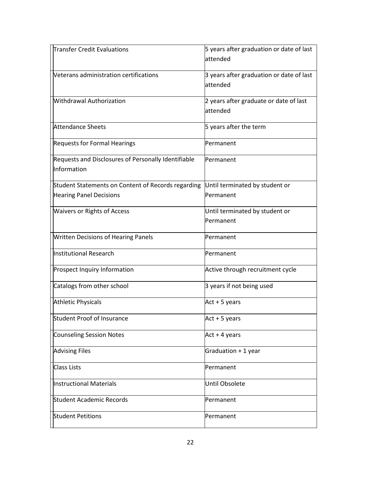| <b>Transfer Credit Evaluations</b>                                 | 5 years after graduation or date of last<br>lattended |
|--------------------------------------------------------------------|-------------------------------------------------------|
| Veterans administration certifications                             | 3 years after graduation or date of last<br>attended  |
| Withdrawal Authorization                                           | 2 years after graduate or date of last<br>attended    |
| <b>Attendance Sheets</b>                                           | 5 years after the term                                |
| <b>Requests for Formal Hearings</b>                                | Permanent                                             |
| Requests and Disclosures of Personally Identifiable<br>Information | Permanent                                             |
| Student Statements on Content of Records regarding                 | Until terminated by student or                        |
| <b>Hearing Panel Decisions</b>                                     | Permanent                                             |
| <b>Waivers or Rights of Access</b>                                 | Until terminated by student or                        |
|                                                                    | Permanent                                             |
| <b>Written Decisions of Hearing Panels</b>                         | Permanent                                             |
| Institutional Research                                             | Permanent                                             |
| Prospect Inquiry Information                                       | Active through recruitment cycle                      |
| Catalogs from other school                                         | 3 years if not being used                             |
| <b>Athletic Physicals</b>                                          | Act + 5 years                                         |
| <b>Student Proof of Insurance</b>                                  | Act + 5 years                                         |
| <b>Counseling Session Notes</b>                                    | $Act + 4 years$                                       |
| <b>Advising Files</b>                                              | Graduation + 1 year                                   |
| <b>Class Lists</b>                                                 | Permanent                                             |
| <b>Instructional Materials</b>                                     | Until Obsolete                                        |
| <b>Student Academic Records</b>                                    | Permanent                                             |
| <b>Student Petitions</b>                                           | Permanent                                             |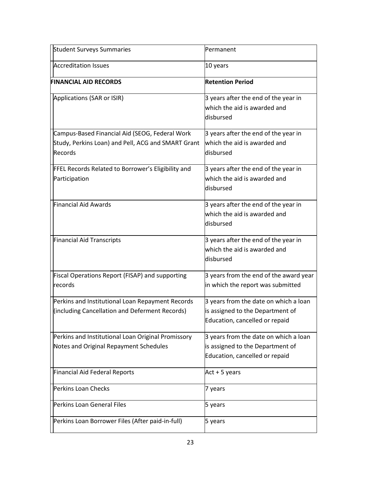| <b>Student Surveys Summaries</b>                                                                                | Permanent                                                                                                   |
|-----------------------------------------------------------------------------------------------------------------|-------------------------------------------------------------------------------------------------------------|
| <b>Accreditation Issues</b>                                                                                     | 10 years                                                                                                    |
| <b>FINANCIAL AID RECORDS</b>                                                                                    | <b>Retention Period</b>                                                                                     |
| Applications (SAR or ISIR)                                                                                      | 3 years after the end of the year in<br>which the aid is awarded and<br>disbursed                           |
| Campus-Based Financial Aid (SEOG, Federal Work<br>Study, Perkins Loan) and Pell, ACG and SMART Grant<br>Records | 3 years after the end of the year in<br>which the aid is awarded and<br>ldisbursed                          |
| FFEL Records Related to Borrower's Eligibility and<br>Participation                                             | 3 years after the end of the year in<br>which the aid is awarded and<br>disbursed                           |
| <b>Financial Aid Awards</b>                                                                                     | 3 years after the end of the year in<br>which the aid is awarded and<br>disbursed                           |
| <b>Financial Aid Transcripts</b>                                                                                | 3 years after the end of the year in<br>which the aid is awarded and<br>disbursed                           |
| Fiscal Operations Report (FISAP) and supporting<br>records                                                      | 3 years from the end of the award year<br>in which the report was submitted                                 |
| Perkins and Institutional Loan Repayment Records<br>(including Cancellation and Deferment Records)              | 3 years from the date on which a loan<br>is assigned to the Department of<br>Education, cancelled or repaid |
| Perkins and Institutional Loan Original Promissory<br>Notes and Original Repayment Schedules                    | 3 years from the date on which a loan<br>is assigned to the Department of<br>Education, cancelled or repaid |
| <b>Financial Aid Federal Reports</b>                                                                            | $Act + 5 years$                                                                                             |
| <b>Perkins Loan Checks</b>                                                                                      | 7 years                                                                                                     |
| Perkins Loan General Files                                                                                      | 5 years                                                                                                     |
| Perkins Loan Borrower Files (After paid-in-full)                                                                | 5 years                                                                                                     |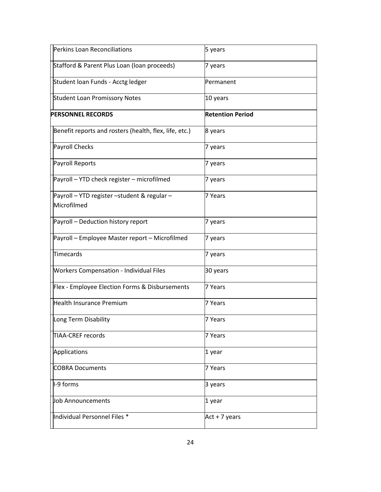| Perkins Loan Reconciliations                               | 5 years                 |
|------------------------------------------------------------|-------------------------|
| Stafford & Parent Plus Loan (loan proceeds)                | 7 years                 |
| Student Ioan Funds - Acctg ledger                          | Permanent               |
| <b>Student Loan Promissory Notes</b>                       | 10 years                |
| <b>PERSONNEL RECORDS</b>                                   | <b>Retention Period</b> |
| Benefit reports and rosters (health, flex, life, etc.)     | 8 years                 |
| Payroll Checks                                             | 7 years                 |
| <b>Payroll Reports</b>                                     | 7 years                 |
| Payroll - YTD check register - microfilmed                 | 7 years                 |
| Payroll - YTD register -student & regular -<br>Microfilmed | 7 Years                 |
| Payroll - Deduction history report                         | 7 years                 |
| Payroll - Employee Master report - Microfilmed             | 7 years                 |
| Timecards                                                  | 7 years                 |
| <b>Workers Compensation - Individual Files</b>             | 30 years                |
| Flex - Employee Election Forms & Disbursements             | 7 Years                 |
| <b>Health Insurance Premium</b>                            | 7 Years                 |
| Long Term Disability                                       | 7 Years                 |
| TIAA-CREF records                                          | 7 Years                 |
| Applications                                               | 1 year                  |
| <b>COBRA Documents</b>                                     | 7 Years                 |
| I-9 forms                                                  | 3 years                 |
| Job Announcements                                          | 1 year                  |
| Individual Personnel Files *                               | Act + 7 years           |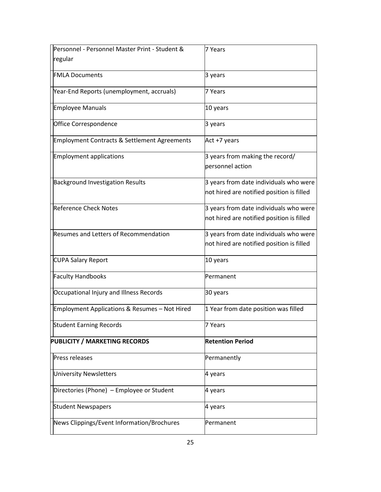| Personnel - Personnel Master Print - Student &          | 7 Years                                   |
|---------------------------------------------------------|-------------------------------------------|
| regular                                                 |                                           |
| <b>FMLA Documents</b>                                   | 3 years                                   |
| Year-End Reports (unemployment, accruals)               | 7 Years                                   |
| Employee Manuals                                        | 10 years                                  |
| Office Correspondence                                   | 3 years                                   |
| <b>Employment Contracts &amp; Settlement Agreements</b> | Act +7 years                              |
| <b>Employment applications</b>                          | 3 years from making the record/           |
|                                                         | personnel action                          |
| <b>Background Investigation Results</b>                 | 3 years from date individuals who were    |
|                                                         | not hired are notified position is filled |
| <b>Reference Check Notes</b>                            | 3 years from date individuals who were    |
|                                                         | not hired are notified position is filled |
| Resumes and Letters of Recommendation                   | 3 years from date individuals who were    |
|                                                         | not hired are notified position is filled |
| <b>CUPA Salary Report</b>                               | 10 years                                  |
| <b>Faculty Handbooks</b>                                | Permanent                                 |
| Occupational Injury and Illness Records                 | 30 years                                  |
| Employment Applications & Resumes - Not Hired           | 1 Year from date position was filled      |
| Student Earning Records                                 | 7 Years                                   |
| <b>PUBLICITY / MARKETING RECORDS</b>                    | <b>Retention Period</b>                   |
| Press releases                                          |                                           |
|                                                         | Permanently                               |
| <b>University Newsletters</b>                           | 4 years                                   |
| Directories (Phone) – Employee or Student               | 4 years                                   |
| <b>Student Newspapers</b>                               | 4 years                                   |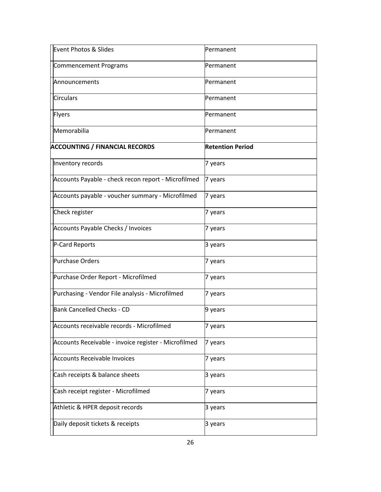| <b>Event Photos &amp; Slides</b>                     | Permanent               |
|------------------------------------------------------|-------------------------|
| <b>Commencement Programs</b>                         | lPermanent              |
| Announcements                                        | Permanent               |
| <b>Circulars</b>                                     | <b>Permanent</b>        |
| <b>Flyers</b>                                        | Permanent               |
| Memorabilia                                          | Permanent               |
| <b>ACCOUNTING / FINANCIAL RECORDS</b>                | <b>Retention Period</b> |
| Inventory records                                    | 7 years                 |
| Accounts Payable - check recon report - Microfilmed  | 7 years                 |
| Accounts payable - voucher summary - Microfilmed     | 7 years                 |
| Check register                                       | 7 years                 |
| Accounts Payable Checks / Invoices                   | 7 years                 |
| P-Card Reports                                       | 3 years                 |
| Purchase Orders                                      | 7 years                 |
| Purchase Order Report - Microfilmed                  | 7 years                 |
| Purchasing - Vendor File analysis - Microfilmed      | 7 years                 |
| Bank Cancelled Checks - CD                           | 9 years                 |
| Accounts receivable records - Microfilmed            | 7 years                 |
| Accounts Receivable - invoice register - Microfilmed | 7 years                 |
| <b>Accounts Receivable Invoices</b>                  | 7 years                 |
| Cash receipts & balance sheets                       | 3 years                 |
| Cash receipt register - Microfilmed                  | 7 years                 |
| Athletic & HPER deposit records                      | 3 years                 |
| Daily deposit tickets & receipts                     | 3 years                 |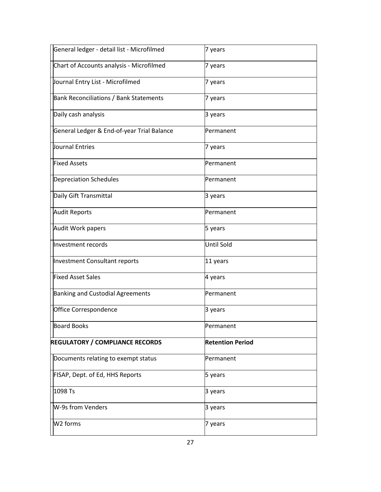| General ledger - detail list - Microfilmed    | 7 years                 |
|-----------------------------------------------|-------------------------|
| Chart of Accounts analysis - Microfilmed      | 7 years                 |
| Journal Entry List - Microfilmed              | 7 years                 |
| <b>Bank Reconciliations / Bank Statements</b> | 7 years                 |
| Daily cash analysis                           | 3 years                 |
| General Ledger & End-of-year Trial Balance    | Permanent               |
| Journal Entries                               | 7 years                 |
| <b>Fixed Assets</b>                           | Permanent               |
| <b>Depreciation Schedules</b>                 | Permanent               |
| Daily Gift Transmittal                        | 3 years                 |
| <b>Audit Reports</b>                          | Permanent               |
| Audit Work papers                             | 5 years                 |
| Investment records                            | <b>Until Sold</b>       |
| Investment Consultant reports                 | 11 years                |
| <b>Fixed Asset Sales</b>                      | 4 years                 |
| <b>Banking and Custodial Agreements</b>       | Permanent               |
| Office Correspondence                         | 3 years                 |
| <b>Board Books</b>                            | Permanent               |
| <b>REGULATORY / COMPLIANCE RECORDS</b>        | <b>Retention Period</b> |
| Documents relating to exempt status           | Permanent               |
| FISAP, Dept. of Ed, HHS Reports               | 5 years                 |
| 1098 Ts                                       | 3 years                 |
| W-9s from Venders                             | 3 years                 |
| W <sub>2</sub> forms                          | 7 years                 |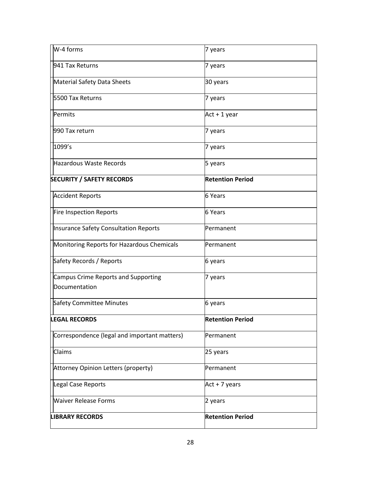| W-4 forms                                            | 7 years                 |
|------------------------------------------------------|-------------------------|
| 941 Tax Returns                                      | 7 years                 |
| Material Safety Data Sheets                          | 30 years                |
| 5500 Tax Returns                                     | 7 years                 |
| Permits                                              | Act + 1 year            |
| 990 Tax return                                       | 7 years                 |
| 1099's                                               | 7 years                 |
| Hazardous Waste Records                              | 5 years                 |
| <b>SECURITY / SAFETY RECORDS</b>                     | <b>Retention Period</b> |
| <b>Accident Reports</b>                              | <b>6 Years</b>          |
| Fire Inspection Reports                              | 6 Years                 |
| Insurance Safety Consultation Reports                | Permanent               |
| Monitoring Reports for Hazardous Chemicals           | Permanent               |
| Safety Records / Reports                             | 6 years                 |
| Campus Crime Reports and Supporting<br>Documentation | 7 years                 |
| <b>Safety Committee Minutes</b>                      | 6 years                 |
| <b>LEGAL RECORDS</b>                                 | <b>Retention Period</b> |
| Correspondence (legal and important matters)         | Permanent               |
| Claims                                               | 25 years                |
| Attorney Opinion Letters (property)                  | Permanent               |
| Legal Case Reports                                   | $Act + 7 years$         |
| <b>Waiver Release Forms</b>                          | 2 years                 |
| <b>LIBRARY RECORDS</b>                               | <b>Retention Period</b> |
|                                                      |                         |